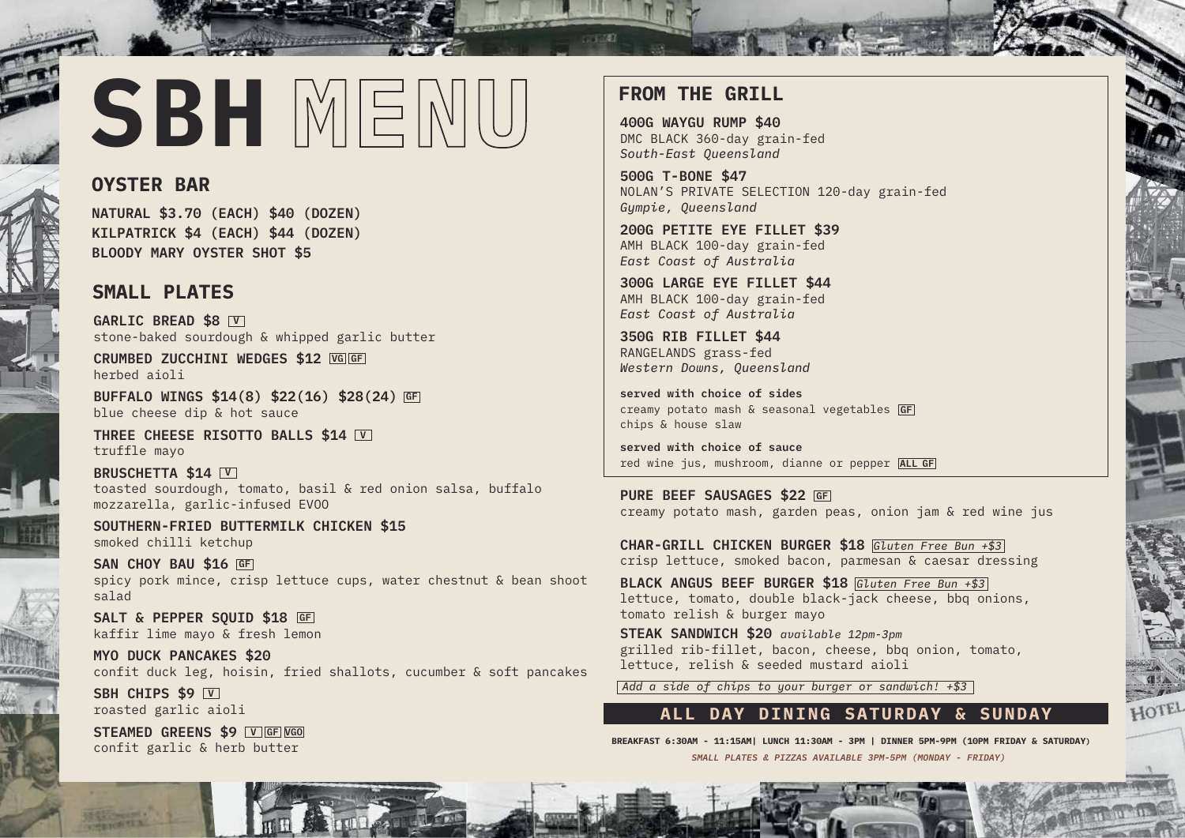# SBH MENU

# **OYSTER BAR**

**NATURAL \$3.70 (EACH) \$40 (DOZEN) KILPATRICK \$4 (EACH) \$44 (DOZEN) BLOODY MARY OYSTER SHOT \$5**

# **SMALL PLATES**

**GARLIC BREAD \$8 V** stone-baked sourdough & whipped garlic butter

**CRUMBED ZUCCHINI WEDGES \$12 VG GF** herbed aioli

**BUFFALO WINGS \$14(8) \$22(16) \$28(24) GF** blue cheese dip & hot sauce

**THREE CHEESE RISOTTO BALLS \$14 V** truffle mayo

**BRUSCHETTA \$14 V** toasted sourdough, tomato, basil & red onion salsa, buffalo mozzarella, garlic-infused EVOO

**SOUTHERN-FRIED BUTTERMILK CHICKEN \$15** smoked chilli ketchup

**SAN CHOY BAU \$16 GF** spicy pork mince, crisp lettuce cups, water chestnut & bean shoot salad

**SALT & PEPPER SQUID \$18 GF**kaffir lime mayo & fresh lemon

**MYO DUCK PANCAKES \$20** confit duck leg, hoisin, fried shallots, cucumber & soft pancakes

**SBH CHIPS \$9**  $\overline{\mathsf{v}}$ roasted garlic aioli

**STEAMED GREENS \$9 V GF VGO** confit garlic & herb butter

# **FROM THE GRILL**

GELLER

**400G WAYGU RUMP \$40** DMC BLACK 360-day grain-fed *South-East Queensland*

**500G T-BONE \$47** NOLAN'S PRIVATE SELECTION 120-day grain-fed *Gympie, Queensland*

**200G PETITE EYE FILLET \$39** AMH BLACK 100-day grain-fed *East Coast of Australia*

**300G LARGE EYE FILLET \$44** AMH BLACK 100-day grain-fed *East Coast of Australia*

**350G RIB FILLET \$44** RANGELANDS grass-fed *Western Downs, Queensland* 

**served with choice of sides** creamy potato mash & seasonal vegetables **GF** chips & house slaw

**served with choice of sauce** red wine jus, mushroom, dianne or pepper **ALL GF**

**PURE BEEF SAUSAGES \$22 GF** creamy potato mash, garden peas, onion jam & red wine jus

**CHAR-GRILL CHICKEN BURGER \$18** *Gluten Free Bun +\$3* crisp lettuce, smoked bacon, parmesan & caesar dressing

**BLACK ANGUS BEEF BURGER \$18** *Gluten Free Bun +\$3* lettuce, tomato, double black-jack cheese, bbq onions, tomato relish & burger mayo

**STEAK SANDWICH \$20** *available 12pm-3pm* grilled rib-fillet, bacon, cheese, bbq onion, tomato, lettuce, relish & seeded mustard aioli

*Add a side of chips to your burger or sandwich! +\$3*

### **ALL DAY DINING SATURDAY & SUNDAY**

**BREAKFAST 6:30AM - 11:15AM| LUNCH 11:30AM - 3PM | DINNER 5PM-9PM (10PM FRIDAY & SATURDAY)** *SMALL PLATES & PIZZAS AVAILABLE 3PM-5PM (MONDAY - FRIDAY)*